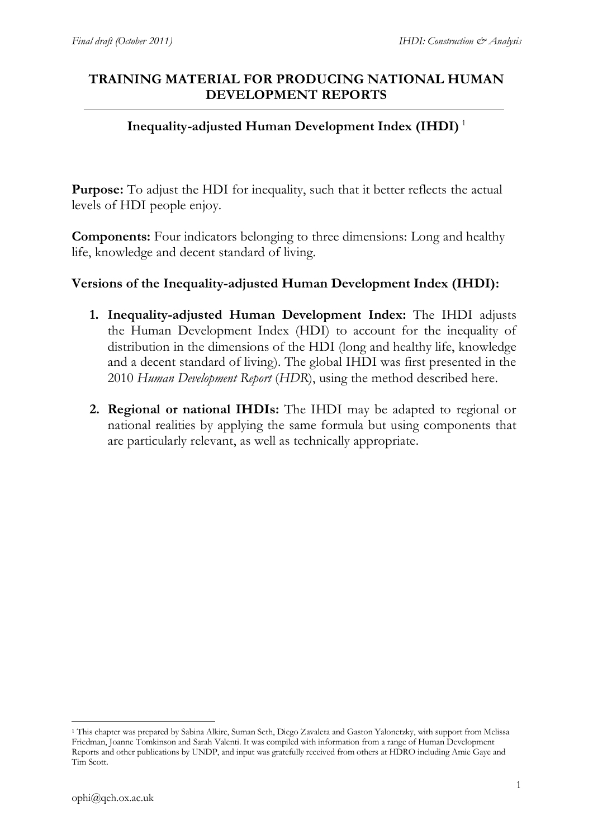## **TRAINING MATERIAL FOR PRODUCING NATIONAL HUMAN DEVELOPMENT REPORTS**

## **Inequality-adjusted Human Development Index (IHDI)** <sup>1</sup>

**Purpose:** To adjust the HDI for inequality, such that it better reflects the actual levels of HDI people enjoy.

**Components:** Four indicators belonging to three dimensions: Long and healthy life, knowledge and decent standard of living.

## **Versions of the Inequality-adjusted Human Development Index (IHDI):**

- **1. Inequality-adjusted Human Development Index:** The IHDI adjusts the Human Development Index (HDI) to account for the inequality of distribution in the dimensions of the HDI (long and healthy life, knowledge and a decent standard of living). The global IHDI was first presented in the 2010 *Human Development Report* (*HDR*), using the method described here.
- **2. Regional or national IHDIs:** The IHDI may be adapted to regional or national realities by applying the same formula but using components that are particularly relevant, as well as technically appropriate.

<sup>1</sup> <sup>1</sup> This chapter was prepared by Sabina Alkire, Suman Seth, Diego Zavaleta and Gaston Yalonetzky, with support from Melissa Friedman, Joanne Tomkinson and Sarah Valenti. It was compiled with information from a range of Human Development Reports and other publications by UNDP, and input was gratefully received from others at HDRO including Amie Gaye and Tim Scott.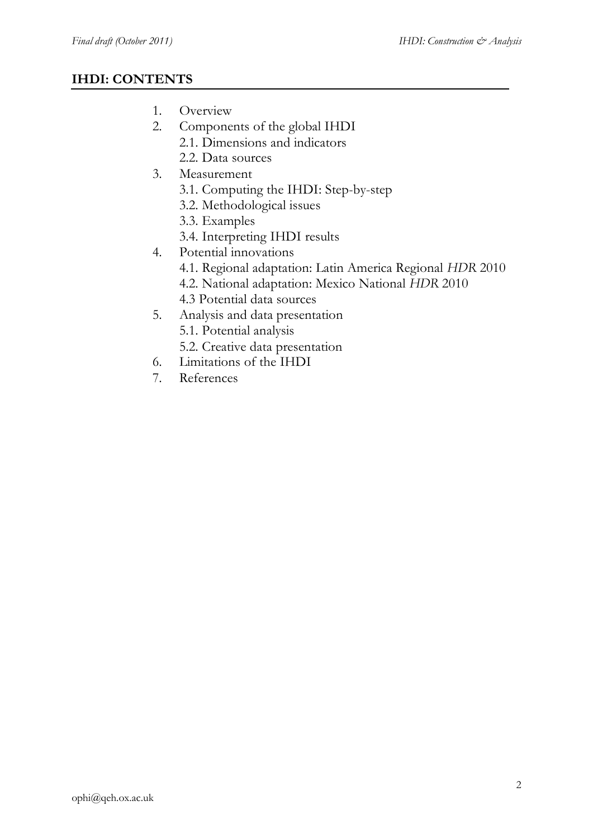# **IHDI: CONTENTS**

- 1. Overview
- 2. Components of the global IHDI
	- 2.1. Dimensions and indicators
	- 2.2. Data sources
- 3. Measurement
	- 3.1. Computing the IHDI: Step-by-step
	- 3.2. Methodological issues
	- 3.3. Examples
	- 3.4. Interpreting IHDI results
- 4. Potential innovations
	- 4.1. Regional adaptation: Latin America Regional *HDR* 2010
	- 4.2. National adaptation: Mexico National *HDR* 2010
	- 4.3 Potential data sources
- 5. Analysis and data presentation
	- 5.1. Potential analysis
	- 5.2. Creative data presentation
- 6. Limitations of the IHDI
- 7. References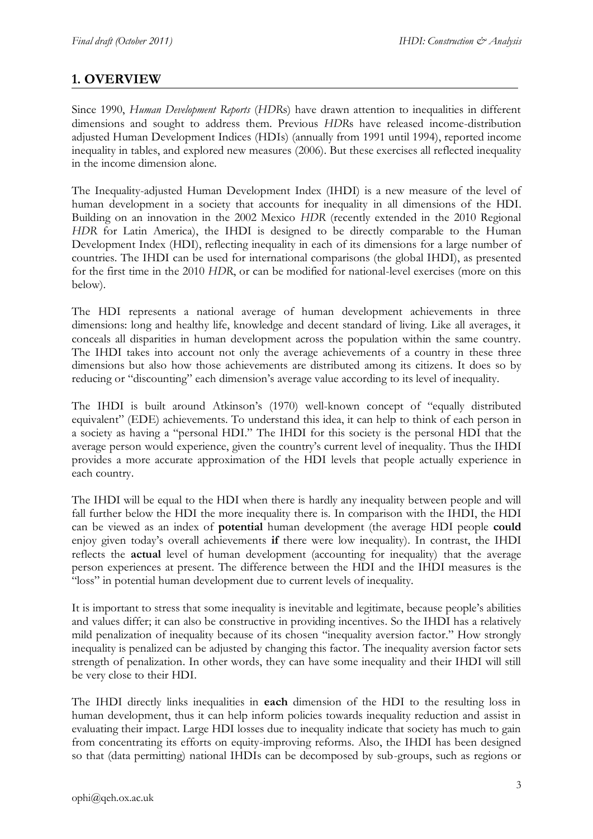# **1. OVERVIEW**

Since 1990, *Human Development Reports* (*HDR*s) have drawn attention to inequalities in different dimensions and sought to address them. Previous *HDR*s have released income-distribution adjusted Human Development Indices (HDIs) (annually from 1991 until 1994), reported income inequality in tables, and explored new measures (2006). But these exercises all reflected inequality in the income dimension alone.

The Inequality-adjusted Human Development Index (IHDI) is a new measure of the level of human development in a society that accounts for inequality in all dimensions of the HDI. Building on an innovation in the 2002 Mexico *HDR* (recently extended in the 2010 Regional *HDR* for Latin America), the IHDI is designed to be directly comparable to the Human Development Index (HDI), reflecting inequality in each of its dimensions for a large number of countries. The IHDI can be used for international comparisons (the global IHDI), as presented for the first time in the 2010 *HDR*, or can be modified for national-level exercises (more on this below).

The HDI represents a national average of human development achievements in three dimensions: long and healthy life, knowledge and decent standard of living. Like all averages, it conceals all disparities in human development across the population within the same country. The IHDI takes into account not only the average achievements of a country in these three dimensions but also how those achievements are distributed among its citizens. It does so by reducing or "discounting" each dimension's average value according to its level of inequality.

The IHDI is built around Atkinson's (1970) well-known concept of "equally distributed equivalent" (EDE) achievements. To understand this idea, it can help to think of each person in a society as having a "personal HDI." The IHDI for this society is the personal HDI that the average person would experience, given the country's current level of inequality. Thus the IHDI provides a more accurate approximation of the HDI levels that people actually experience in each country.

The IHDI will be equal to the HDI when there is hardly any inequality between people and will fall further below the HDI the more inequality there is. In comparison with the IHDI, the HDI can be viewed as an index of **potential** human development (the average HDI people **could**  enjoy given today's overall achievements **if** there were low inequality). In contrast, the IHDI reflects the **actual** level of human development (accounting for inequality) that the average person experiences at present. The difference between the HDI and the IHDI measures is the "loss" in potential human development due to current levels of inequality.

It is important to stress that some inequality is inevitable and legitimate, because people's abilities and values differ; it can also be constructive in providing incentives. So the IHDI has a relatively mild penalization of inequality because of its chosen "inequality aversion factor." How strongly inequality is penalized can be adjusted by changing this factor. The inequality aversion factor sets strength of penalization. In other words, they can have some inequality and their IHDI will still be very close to their HDI.

The IHDI directly links inequalities in **each** dimension of the HDI to the resulting loss in human development, thus it can help inform policies towards inequality reduction and assist in evaluating their impact. Large HDI losses due to inequality indicate that society has much to gain from concentrating its efforts on equity-improving reforms. Also, the IHDI has been designed so that (data permitting) national IHDIs can be decomposed by sub-groups, such as regions or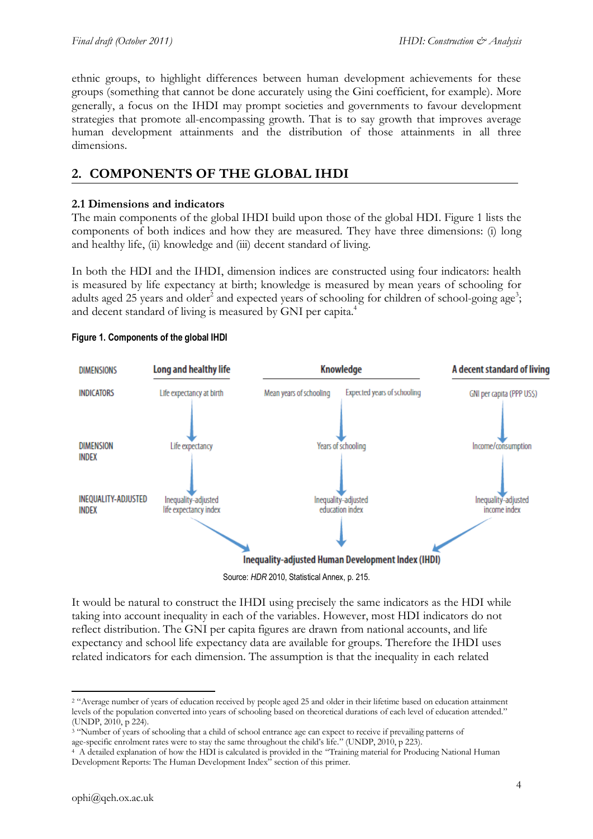ethnic groups, to highlight differences between human development achievements for these groups (something that cannot be done accurately using the Gini coefficient, for example). More generally, a focus on the IHDI may prompt societies and governments to favour development strategies that promote all-encompassing growth. That is to say growth that improves average human development attainments and the distribution of those attainments in all three dimensions.

## **2. COMPONENTS OF THE GLOBAL IHDI**

### **2.1 Dimensions and indicators**

The main components of the global IHDI build upon those of the global HDI. Figure 1 lists the components of both indices and how they are measured. They have three dimensions: (i) long and healthy life, (ii) knowledge and (iii) decent standard of living.

In both the HDI and the IHDI, dimension indices are constructed using four indicators: health is measured by life expectancy at birth; knowledge is measured by mean years of schooling for adults aged 25 years and older<sup>2</sup> and expected years of schooling for children of school-going age<sup>3</sup>; and decent standard of living is measured by GNI per capita.<sup>4</sup>



#### **Figure 1. Components of the global IHDI**

It would be natural to construct the IHDI using precisely the same indicators as the HDI while taking into account inequality in each of the variables. However, most HDI indicators do not reflect distribution. The GNI per capita figures are drawn from national accounts, and life expectancy and school life expectancy data are available for groups. Therefore the IHDI uses related indicators for each dimension. The assumption is that the inequality in each related

<sup>3</sup> "Number of years of schooling that a child of school entrance age can expect to receive if prevailing patterns of age-specific enrolment rates were to stay the same throughout the child's life." (UNDP, 2010, p 223).

<sup>&</sup>lt;sup>2</sup> "Average number of years of education received by people aged 25 and older in their lifetime based on education attainment levels of the population converted into years of schooling based on theoretical durations of each level of education attended." (UNDP, 2010, p 224).

<sup>&</sup>lt;sup>4</sup> A detailed explanation of how the HDI is calculated is provided in the "Training material for Producing National Human Development Reports: The Human Development Index" section of this primer.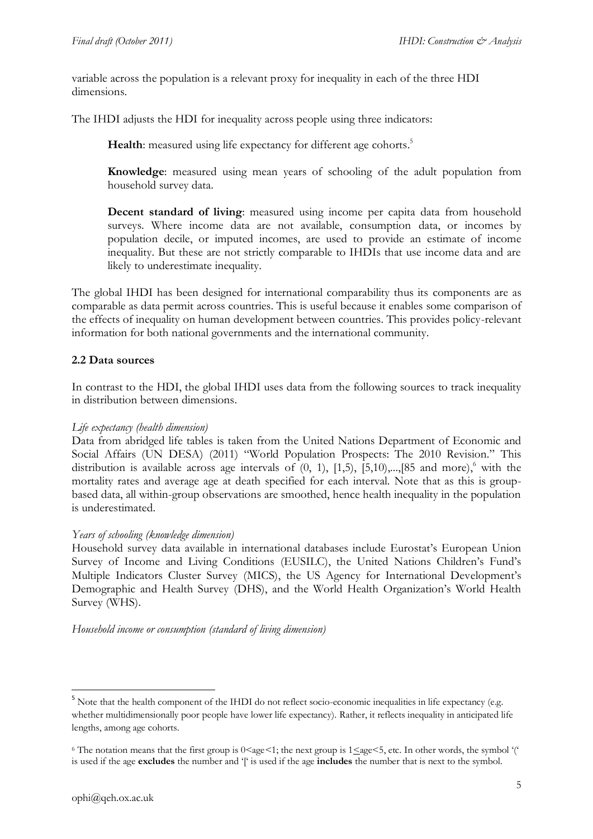variable across the population is a relevant proxy for inequality in each of the three HDI dimensions.

The IHDI adjusts the HDI for inequality across people using three indicators:

Health: measured using life expectancy for different age cohorts.<sup>5</sup>

**Knowledge**: measured using mean years of schooling of the adult population from household survey data.

**Decent standard of living**: measured using income per capita data from household surveys. Where income data are not available, consumption data, or incomes by population decile, or imputed incomes, are used to provide an estimate of income inequality. But these are not strictly comparable to IHDIs that use income data and are likely to underestimate inequality.

The global IHDI has been designed for international comparability thus its components are as comparable as data permit across countries. This is useful because it enables some comparison of the effects of inequality on human development between countries. This provides policy-relevant information for both national governments and the international community.

### **2.2 Data sources**

In contrast to the HDI, the global IHDI uses data from the following sources to track inequality in distribution between dimensions.

#### *Life expectancy (health dimension)*

Data from abridged life tables is taken from the United Nations Department of Economic and Social Affairs (UN DESA) (2011) "World Population Prospects: The 2010 Revision." This distribution is available across age intervals of  $(0, 1)$ ,  $[1,5)$ ,  $[5,10)$ ,..., $[85$  and more),<sup>6</sup> with the mortality rates and average age at death specified for each interval. Note that as this is groupbased data, all within-group observations are smoothed, hence health inequality in the population is underestimated.

#### *Years of schooling (knowledge dimension)*

Household survey data available in international databases include Eurostat's European Union Survey of Income and Living Conditions (EUSILC), the United Nations Children's Fund's Multiple Indicators Cluster Survey (MICS), the US Agency for International Development's Demographic and Health Survey (DHS), and the World Health Organization's World Health Survey (WHS).

*Household income or consumption (standard of living dimension)*

<sup>&</sup>lt;sup>5</sup> Note that the health component of the IHDI do not reflect socio-economic inequalities in life expectancy (e.g. whether multidimensionally poor people have lower life expectancy). Rather, it reflects inequality in anticipated life lengths, among age cohorts.

<sup>&</sup>lt;sup>6</sup> The notation means that the first group is  $0 \leq$  age  $\leq$ 1; the next group is  $1 \leq$  age $\leq$ 5, etc. In other words, the symbol '(' is used if the age **excludes** the number and '[' is used if the age **includes** the number that is next to the symbol.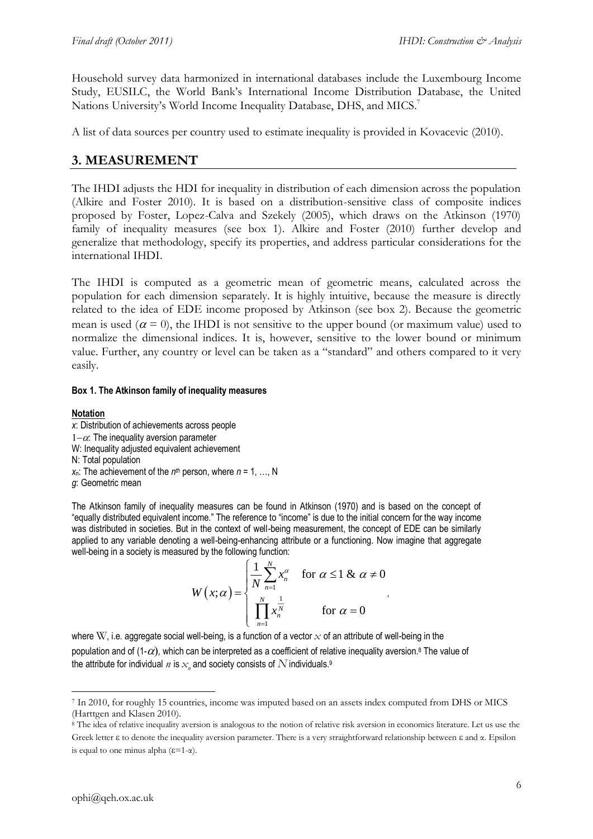Household survey data harmonized in international databases include the Luxembourg Income Study, EUSILC, the World Bank's International Income Distribution Database, the United Nations University's World Income Inequality Database, DHS, and MICS.<sup>7</sup>

A list of data sources per country used to estimate inequality is provided in Kovacevic (2010).

## **3. MEASUREMENT**

The IHDI adjusts the HDI for inequality in distribution of each dimension across the population (Alkire and Foster 2010). It is based on a distribution-sensitive class of composite indices proposed by Foster, Lopez-Calva and Szekely (2005), which draws on the Atkinson (1970) family of inequality measures (see box 1). Alkire and Foster (2010) further develop and generalize that methodology, specify its properties, and address particular considerations for the international IHDI.

The IHDI is computed as a geometric mean of geometric means, calculated across the population for each dimension separately. It is highly intuitive, because the measure is directly related to the idea of EDE income proposed by Atkinson (see box 2). Because the geometric mean is used ( $\alpha = 0$ ), the IHDI is not sensitive to the upper bound (or maximum value) used to normalize the dimensional indices. It is, however, sensitive to the lower bound or minimum value. Further, any country or level can be taken as a "standard" and others compared to it very easily.

#### **Box 1. The Atkinson family of inequality measures**

#### **Notation**

*x*: Distribution of achievements across people  $1-\alpha$ . The inequality aversion parameter W: Inequality adjusted equivalent achievement N: Total population  $x_n$ : The achievement of the  $n^{th}$  person, where  $n = 1, ..., N$ *g*: Geometric mean

The Atkinson family of inequality measures can be found in Atkinson (1970) and is based on the concept of "equally distributed equivalent income." The reference to "income" is due to the initial concern for the way income was distributed in societies. But in the context of well-being measurement, the concept of EDE can be similarly applied to any variable denoting a well-being-enhancing attribute or a functioning. Now imagine that aggregate well-being in a society is measured by the following function:

$$
W(x; \alpha) = \begin{cases} \frac{1}{N} \sum_{n=1}^{N} x_n^{\alpha} & \text{for } \alpha \leq 1 \& \alpha \neq 0 \\ \prod_{n=1}^{N} x_n^{\frac{1}{N}} & \text{for } \alpha = 0 \end{cases}
$$

,

where W, i.e. aggregate social well-being, is a function of a vector  $x$  of an attribute of well-being in the population and of (1- $\alpha$ ), which can be interpreted as a coefficient of relative inequality aversion.<sup>8</sup> The value of the attribute for individual  $\emph{n}$  is  $\emph{x}_{\emph{n}}$  and society consists of  $N$  individuals. $^{\textrm{g}}$ 

<sup>7</sup> In 2010, for roughly 15 countries, income was imputed based on an assets index computed from DHS or MICS (Harttgen and Klasen 2010).

<sup>&</sup>lt;sup>8</sup> The idea of relative inequality aversion is analogous to the notion of relative risk aversion in economics literature. Let us use the Greek letter  $\varepsilon$  to denote the inequality aversion parameter. There is a very straightforward relationship between  $\varepsilon$  and  $\alpha$ . Epsilon is equal to one minus alpha  $(\epsilon=1-\alpha)$ .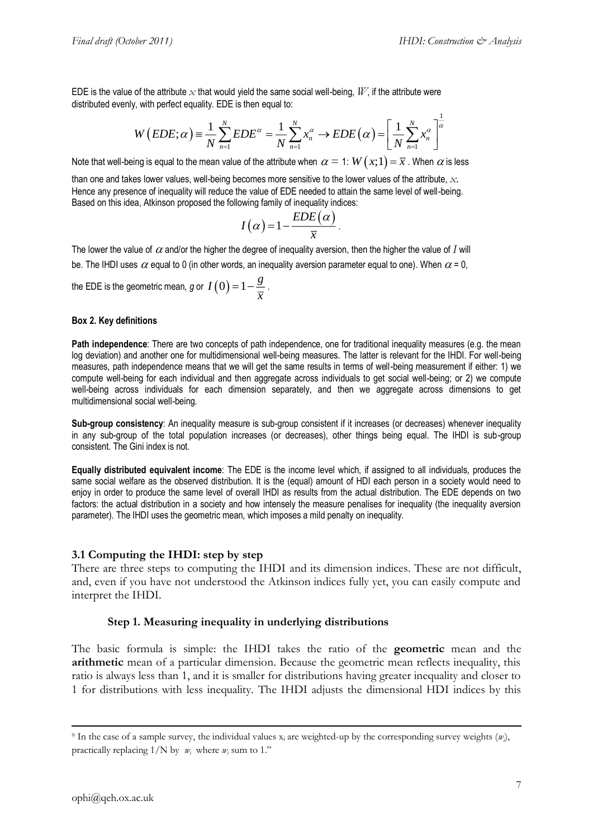EDE is the value of the attribute  $\chi$  that would yield the same social well-being,  $W$ , if the attribute were distributed evenly, with perfect equality. EDE is then equal to:

$$
W(EDE; \alpha) = \frac{1}{N} \sum_{n=1}^{N} EDE^{\alpha} = \frac{1}{N} \sum_{n=1}^{N} x_n^{\alpha} \rightarrow EDE(\alpha) = \left[ \frac{1}{N} \sum_{n=1}^{N} x_n^{\alpha} \right]^{\frac{1}{\alpha}}
$$

Note that well-being is equal to the mean value of the attribute when  $\,\alpha=$  1:  $\,W\big(x;1\big)\!=\!\overline{x}$  . When  $\,\alpha$  is less

than one and takes lower values, well-being becomes more sensitive to the lower values of the attribute, *x*. Hence any presence of inequality will reduce the value of EDE needed to attain the same level of well-being. Based on this idea, Atkinson proposed the following family of inequality indices:

$$
I(\alpha)=1-\frac{EDE(\alpha)}{\overline{x}}.
$$

The lower the value of  $\alpha$  and/or the higher the degree of inequality aversion, then the higher the value of  $I$  will be. The IHDI uses  $\alpha$  equal to 0 (in other words, an inequality aversion parameter equal to one). When  $\alpha$  = 0,

the EDE is the geometric mean,  $g$  or  $\ I\left( 0\right)$   $=$   $1-\frac{g}{\overline{z}}$  $=1-\frac{8}{\overline{x}}$ .

#### **Box 2. Key definitions**

**Path independence**: There are two concepts of path independence, one for traditional inequality measures (e.g. the mean log deviation) and another one for multidimensional well-being measures. The latter is relevant for the IHDI. For well-being measures, path independence means that we will get the same results in terms of well-being measurement if either: 1) we compute well-being for each individual and then aggregate across individuals to get social well-being; or 2) we compute well-being across individuals for each dimension separately, and then we aggregate across dimensions to get multidimensional social well-being.

**Sub-group consistency**: An inequality measure is sub-group consistent if it increases (or decreases) whenever inequality in any sub-group of the total population increases (or decreases), other things being equal. The IHDI is sub-group consistent. The Gini index is not.

**Equally distributed equivalent income**: The EDE is the income level which, if assigned to all individuals, produces the same social welfare as the observed distribution. It is the (equal) amount of HDI each person in a society would need to enjoy in order to produce the same level of overall IHDI as results from the actual distribution. The EDE depends on two factors: the actual distribution in a society and how intensely the measure penalises for inequality (the inequality aversion parameter). The IHDI uses the geometric mean, which imposes a mild penalty on inequality.

#### **3.1 Computing the IHDI: step by step**

There are three steps to computing the IHDI and its dimension indices. These are not difficult, and, even if you have not understood the Atkinson indices fully yet, you can easily compute and interpret the IHDI.

#### **Step 1. Measuring inequality in underlying distributions**

The basic formula is simple: the IHDI takes the ratio of the **geometric** mean and the **arithmetic** mean of a particular dimension. Because the geometric mean reflects inequality, this ratio is always less than 1, and it is smaller for distributions having greater inequality and closer to 1 for distributions with less inequality. The IHDI adjusts the dimensional HDI indices by this

-

<sup>&</sup>lt;sup>9</sup> In the case of a sample survey, the individual values  $x_i$  are weighted-up by the corresponding survey weights  $(w_i)$ , practically replacing  $1/N$  by  $w_i$  where  $w_i$  sum to 1."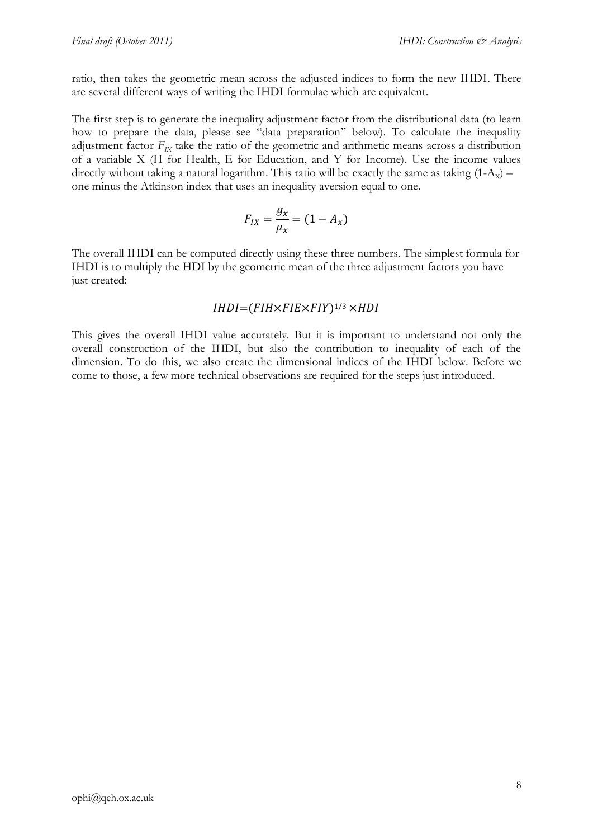ratio, then takes the geometric mean across the adjusted indices to form the new IHDI. There are several different ways of writing the IHDI formulae which are equivalent.

The first step is to generate the inequality adjustment factor from the distributional data (to learn how to prepare the data, please see "data preparation" below). To calculate the inequality adjustment factor  $F_{IX}$  take the ratio of the geometric and arithmetic means across a distribution of a variable X (H for Health, E for Education, and Y for Income). Use the income values directly without taking a natural logarithm. This ratio will be exactly the same as taking  $(1-A_x)$  – one minus the Atkinson index that uses an inequality aversion equal to one.

$$
F_{IX} = \frac{g_x}{\mu_x} = (1 - A_x)
$$

The overall IHDI can be computed directly using these three numbers. The simplest formula for IHDI is to multiply the HDI by the geometric mean of the three adjustment factors you have just created:

## $IHDI = (FIH \times FIE \times FIY)^{1/3} \times HDI$

This gives the overall IHDI value accurately. But it is important to understand not only the overall construction of the IHDI, but also the contribution to inequality of each of the dimension. To do this, we also create the dimensional indices of the IHDI below. Before we come to those, a few more technical observations are required for the steps just introduced.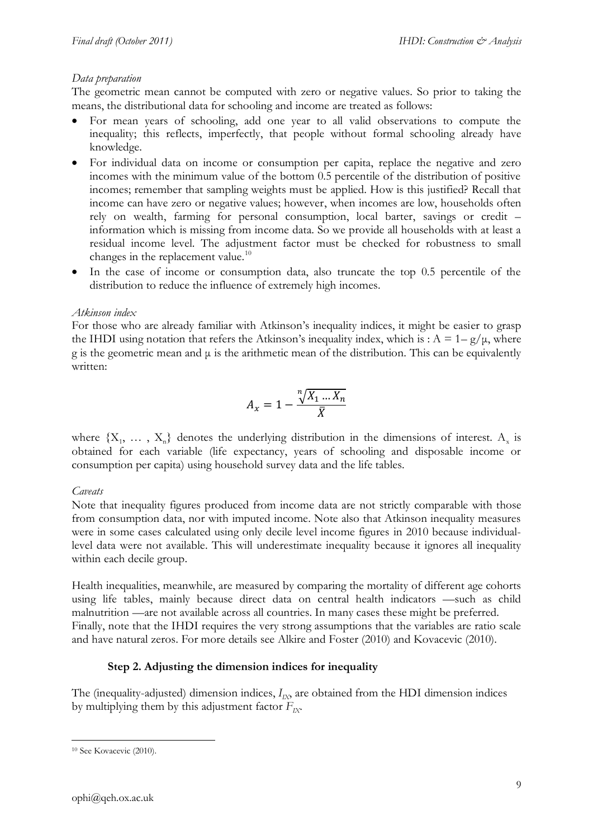## *Data preparation*

The geometric mean cannot be computed with zero or negative values. So prior to taking the means, the distributional data for schooling and income are treated as follows:

- For mean years of schooling, add one year to all valid observations to compute the inequality; this reflects, imperfectly, that people without formal schooling already have knowledge.
- For individual data on income or consumption per capita, replace the negative and zero incomes with the minimum value of the bottom 0.5 percentile of the distribution of positive incomes; remember that sampling weights must be applied. How is this justified? Recall that income can have zero or negative values; however, when incomes are low, households often rely on wealth, farming for personal consumption, local barter, savings or credit – information which is missing from income data. So we provide all households with at least a residual income level. The adjustment factor must be checked for robustness to small changes in the replacement value.<sup>10</sup>
- In the case of income or consumption data, also truncate the top 0.5 percentile of the distribution to reduce the influence of extremely high incomes.

### *Atkinson index*

For those who are already familiar with Atkinson's inequality indices, it might be easier to grasp the IHDI using notation that refers the Atkinson's inequality index, which is :  $A = 1-g/\mu$ , where g is the geometric mean and  $\mu$  is the arithmetic mean of the distribution. This can be equivalently written:

$$
A_x = 1 - \frac{\sqrt[n]{X_1 \dots X_n}}{\overline{X}}
$$

where  $\{X_1, \ldots, X_n\}$  denotes the underlying distribution in the dimensions of interest.  $A_x$  is obtained for each variable (life expectancy, years of schooling and disposable income or consumption per capita) using household survey data and the life tables.

## *Caveats*

Note that inequality figures produced from income data are not strictly comparable with those from consumption data, nor with imputed income. Note also that Atkinson inequality measures were in some cases calculated using only decile level income figures in 2010 because individuallevel data were not available. This will underestimate inequality because it ignores all inequality within each decile group.

Health inequalities, meanwhile, are measured by comparing the mortality of different age cohorts using life tables, mainly because direct data on central health indicators —such as child malnutrition —are not available across all countries. In many cases these might be preferred. Finally, note that the IHDI requires the very strong assumptions that the variables are ratio scale and have natural zeros. For more details see Alkire and Foster (2010) and Kovacevic (2010).

## **Step 2. Adjusting the dimension indices for inequality**

The (inequality-adjusted) dimension indices,  $I_{IX}$ , are obtained from the HDI dimension indices by multiplying them by this adjustment factor  $F_{IX}$ .

<sup>10</sup> See Kovacevic (2010).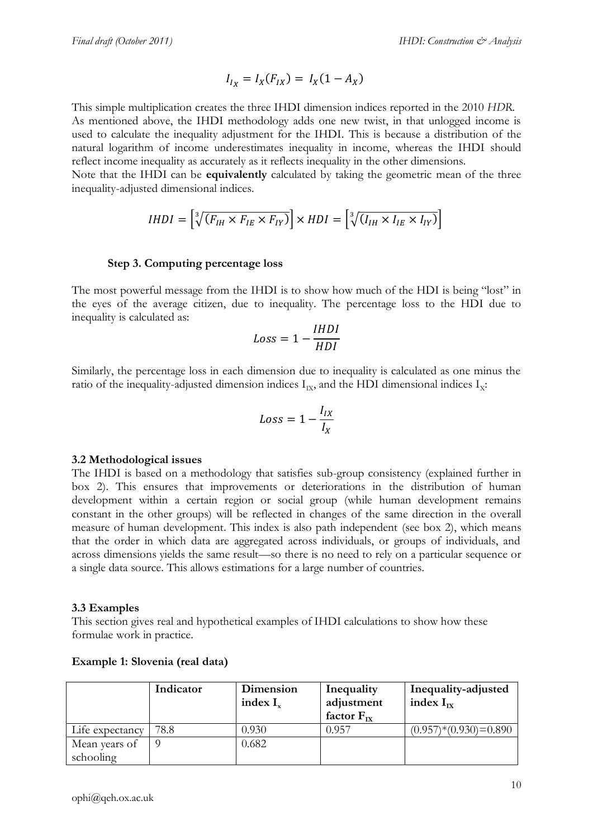$$
I_{I_X} = I_X(F_{IX}) = I_X(1 - A_X)
$$

This simple multiplication creates the three IHDI dimension indices reported in the 2010 *HDR*. As mentioned above, the IHDI methodology adds one new twist, in that unlogged income is used to calculate the inequality adjustment for the IHDI. This is because a distribution of the natural logarithm of income underestimates inequality in income, whereas the IHDI should reflect income inequality as accurately as it reflects inequality in the other dimensions.

Note that the IHDI can be **equivalently** calculated by taking the geometric mean of the three inequality-adjusted dimensional indices.

$$
IHDI = \left[\sqrt[3]{(F_{IH} \times F_{IE} \times F_{IV})}\right] \times HDI = \left[\sqrt[3]{(I_{IH} \times I_{IE} \times I_{IV})}\right]
$$

#### **Step 3. Computing percentage loss**

The most powerful message from the IHDI is to show how much of the HDI is being "lost" in the eyes of the average citizen, due to inequality. The percentage loss to the HDI due to inequality is calculated as:

$$
Loss = 1 - \frac{IHDI}{HDI}
$$

Similarly, the percentage loss in each dimension due to inequality is calculated as one minus the ratio of the inequality-adjusted dimension indices  $I_{IX}$ , and the HDI dimensional indices  $I_{X}$ :

$$
Loss = 1 - \frac{I_{IX}}{I_X}
$$

#### **3.2 Methodological issues**

The IHDI is based on a methodology that satisfies sub-group consistency (explained further in box 2). This ensures that improvements or deteriorations in the distribution of human development within a certain region or social group (while human development remains constant in the other groups) will be reflected in changes of the same direction in the overall measure of human development. This index is also path independent (see box 2), which means that the order in which data are aggregated across individuals, or groups of individuals, and across dimensions yields the same result—so there is no need to rely on a particular sequence or a single data source. This allows estimations for a large number of countries.

#### **3.3 Examples**

This section gives real and hypothetical examples of IHDI calculations to show how these formulae work in practice.

|                 | Indicator | Dimension<br>index $I_{x}$ | Inequality<br>adjustment<br>factor $F_{rx}$ | Inequality-adjusted<br>index $I_{\text{rx}}$ |
|-----------------|-----------|----------------------------|---------------------------------------------|----------------------------------------------|
| Life expectancy | 78.8      | 0.930                      | 0.957                                       | $(0.957)*(0.930)=0.890$                      |
| Mean years of   |           | 0.682                      |                                             |                                              |
| schooling       |           |                            |                                             |                                              |

#### **Example 1: Slovenia (real data)**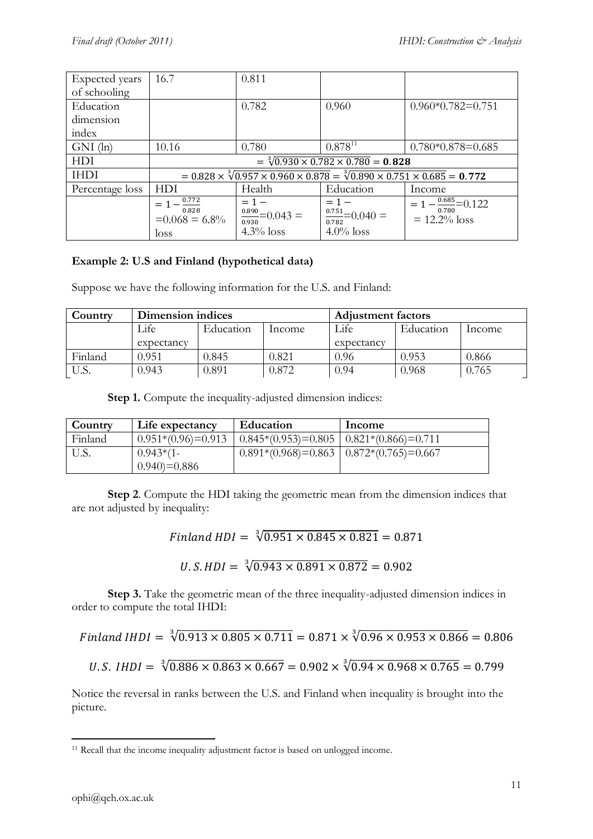| Expected years  | 16.7                                                                                                           | 0.811                           |                                 |                                     |
|-----------------|----------------------------------------------------------------------------------------------------------------|---------------------------------|---------------------------------|-------------------------------------|
| of schooling    |                                                                                                                |                                 |                                 |                                     |
| Education       |                                                                                                                | 0.782                           | 0.960                           | $0.960*0.782=0.751$                 |
| dimension       |                                                                                                                |                                 |                                 |                                     |
| index           |                                                                                                                |                                 |                                 |                                     |
| $GNI$ (ln)      | 10.16                                                                                                          | 0.780                           | $0.878^{11}$                    | $0.780*0.878=0.685$                 |
| <b>HDI</b>      | $=\sqrt[3]{0.930\times 0.782\times 0.780} = 0.828$                                                             |                                 |                                 |                                     |
| <b>IHDI</b>     | $= 0.828 \times \sqrt[3]{0.957 \times 0.960 \times 0.878} = \sqrt[3]{0.890 \times 0.751 \times 0.685} = 0.772$ |                                 |                                 |                                     |
| Percentage loss | <b>HDI</b>                                                                                                     | Health                          | Education                       | Income                              |
|                 | $= 1 - \frac{0.772}{1}$<br>0.828                                                                               | $= 1 -$                         | $= 1 -$                         | $= 1 - \frac{0.685}{0.780} = 0.122$ |
|                 | $=0.068 = 6.8\%$                                                                                               | $\frac{0.890}{0.930}$ = 0.043 = | $\frac{0.751}{0.782} = 0.040 =$ | $= 12.2\%$ loss                     |
|                 | loss                                                                                                           | $4.3\%$ loss                    | $4.0\%$ loss                    |                                     |

## **Example 2: U.S and Finland (hypothetical data)**

Suppose we have the following information for the U.S. and Finland:

| Country | Dimension indices |           |        | <b>Adjustment factors</b> |           |        |
|---------|-------------------|-----------|--------|---------------------------|-----------|--------|
|         | Life              | Education | Income | Life                      | Education | Income |
|         | expectancy        |           |        | expectancy                |           |        |
| Finland | 0.951             | 0.845     | ).821  | 0.96                      | 0.953     | 0.866  |
| U.S.    | 0.943             | 0.891     | 0.872  | 0.94                      | 0.968     | 0.765  |

**Step 1.** Compute the inequality-adjusted dimension indices:

| Country | Life expectancy      | Education                                        | Income |
|---------|----------------------|--------------------------------------------------|--------|
| Finland | $0.951*(0.96)=0.913$ | $\mid$ 0.845*(0.953)=0.805   0.821*(0.866)=0.711 |        |
| U.S.    | $0.943*(1 -$         | $0.891*(0.968)=0.863$   $0.872*(0.765)=0.667$    |        |
|         | $0.940 = 0.886$      |                                                  |        |

**Step 2**. Compute the HDI taking the geometric mean from the dimension indices that are not adjusted by inequality:

Finland HDI =  $\sqrt[3]{0.951 \times 0.845 \times 0.821}$  =

 $U.S. HDI = \sqrt[3]{0.943 \times 0.891 \times 0.872} = 0.902$ 

**Step 3.** Take the geometric mean of the three inequality-adjusted dimension indices in order to compute the total IHDI:

Finland IHDI =  $\sqrt[3]{0.913 \times 0.805 \times 0.711} = 0.871 \times \sqrt[3]{0.96 \times 0.953 \times 0.866}$  =

 $U.S.$  IHDI =  $\sqrt[3]{0.886 \times 0.863 \times 0.667} = 0.902 \times \sqrt[3]{0.94 \times 0.968 \times 0.765}$  =

Notice the reversal in ranks between the U.S. and Finland when inequality is brought into the picture.

<sup>1</sup> <sup>11</sup> Recall that the income inequality adjustment factor is based on unlogged income.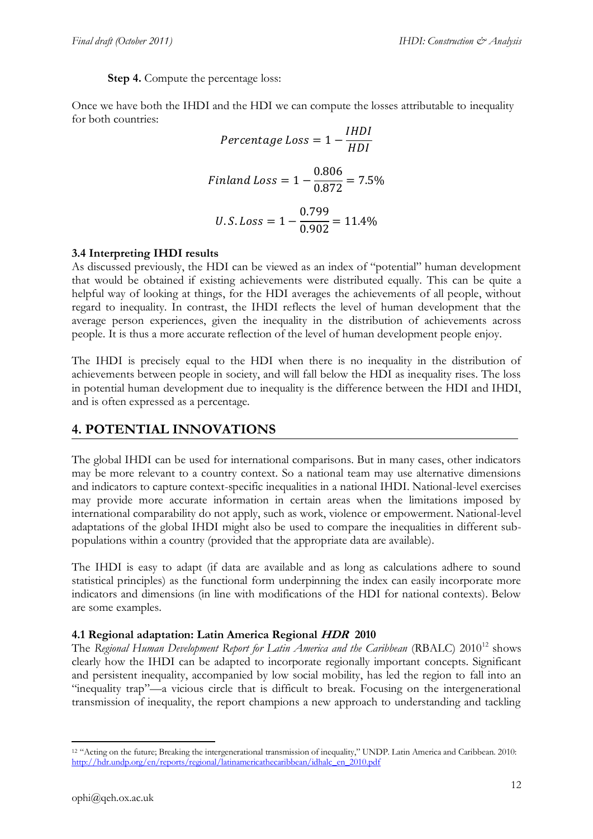**Step 4.** Compute the percentage loss:

Once we have both the IHDI and the HDI we can compute the losses attributable to inequality for both countries:

$$
Percentage Loss = 1 - \frac{IHDI}{HDI}
$$
  
Finland Loss = 1 -  $\frac{0.806}{0.872}$  = 7.5%  

$$
U.S. Loss = 1 - \frac{0.799}{0.902}
$$
 = 11.4%

### **3.4 Interpreting IHDI results**

As discussed previously, the HDI can be viewed as an index of "potential" human development that would be obtained if existing achievements were distributed equally. This can be quite a helpful way of looking at things, for the HDI averages the achievements of all people, without regard to inequality. In contrast, the IHDI reflects the level of human development that the average person experiences, given the inequality in the distribution of achievements across people. It is thus a more accurate reflection of the level of human development people enjoy.

The IHDI is precisely equal to the HDI when there is no inequality in the distribution of achievements between people in society, and will fall below the HDI as inequality rises. The loss in potential human development due to inequality is the difference between the HDI and IHDI, and is often expressed as a percentage.

## **4. POTENTIAL INNOVATIONS**

The global IHDI can be used for international comparisons. But in many cases, other indicators may be more relevant to a country context. So a national team may use alternative dimensions and indicators to capture context-specific inequalities in a national IHDI. National-level exercises may provide more accurate information in certain areas when the limitations imposed by international comparability do not apply, such as work, violence or empowerment. National-level adaptations of the global IHDI might also be used to compare the inequalities in different subpopulations within a country (provided that the appropriate data are available).

The IHDI is easy to adapt (if data are available and as long as calculations adhere to sound statistical principles) as the functional form underpinning the index can easily incorporate more indicators and dimensions (in line with modifications of the HDI for national contexts). Below are some examples.

## **4.1 Regional adaptation: Latin America Regional HDR 2010**

The *Regional Human Development Report for Latin America and the Caribbean* (RBALC) 2010<sup>12</sup> shows clearly how the IHDI can be adapted to incorporate regionally important concepts. Significant and persistent inequality, accompanied by low social mobility, has led the region to fall into an "inequality trap"—a vicious circle that is difficult to break. Focusing on the intergenerational transmission of inequality, the report champions a new approach to understanding and tackling

<sup>12</sup> "Acting on the future; Breaking the intergenerational transmission of inequality," UNDP. Latin America and Caribbean. 2010: [http://hdr.undp.org/en/reports/regional/latinamericathecaribbean/idhalc\\_en\\_2010.pdf](http://hdr.undp.org/en/reports/regional/latinamericathecaribbean/idhalc_en_2010.pdf)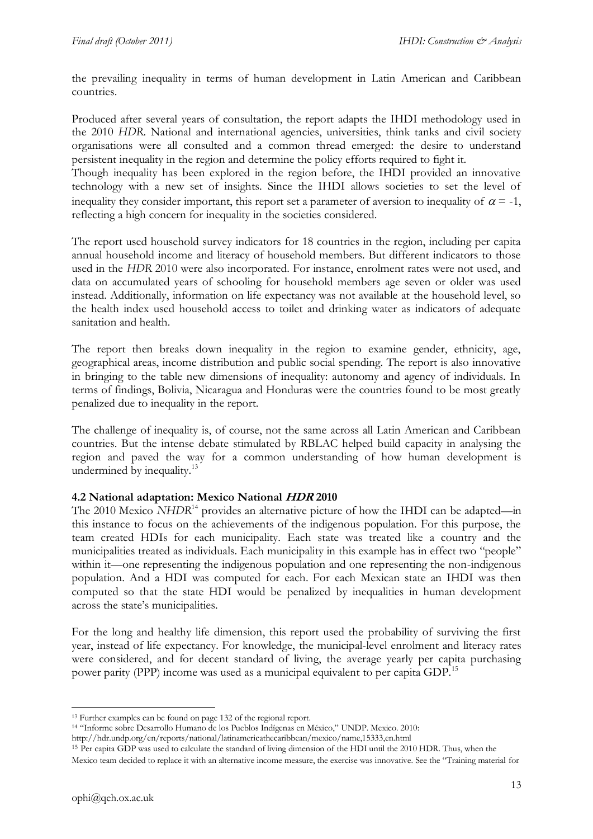the prevailing inequality in terms of human development in Latin American and Caribbean countries.

Produced after several years of consultation, the report adapts the IHDI methodology used in the 2010 *HDR*. National and international agencies, universities, think tanks and civil society organisations were all consulted and a common thread emerged: the desire to understand persistent inequality in the region and determine the policy efforts required to fight it.

Though inequality has been explored in the region before, the IHDI provided an innovative technology with a new set of insights. Since the IHDI allows societies to set the level of inequality they consider important, this report set a parameter of aversion to inequality of  $\alpha = -1$ , reflecting a high concern for inequality in the societies considered.

The report used household survey indicators for 18 countries in the region, including per capita annual household income and literacy of household members. But different indicators to those used in the *HDR* 2010 were also incorporated. For instance, enrolment rates were not used, and data on accumulated years of schooling for household members age seven or older was used instead. Additionally, information on life expectancy was not available at the household level, so the health index used household access to toilet and drinking water as indicators of adequate sanitation and health.

The report then breaks down inequality in the region to examine gender, ethnicity, age, geographical areas, income distribution and public social spending. The report is also innovative in bringing to the table new dimensions of inequality: autonomy and agency of individuals. In terms of findings, Bolivia, Nicaragua and Honduras were the countries found to be most greatly penalized due to inequality in the report.

The challenge of inequality is, of course, not the same across all Latin American and Caribbean countries. But the intense debate stimulated by RBLAC helped build capacity in analysing the region and paved the way for a common understanding of how human development is undermined by inequality. $13$ 

## **4.2 National adaptation: Mexico National HDR 2010**

The 2010 Mexico *NHDR*<sup>14</sup> provides an alternative picture of how the IHDI can be adapted—in this instance to focus on the achievements of the indigenous population. For this purpose, the team created HDIs for each municipality. Each state was treated like a country and the municipalities treated as individuals. Each municipality in this example has in effect two "people" within it—one representing the indigenous population and one representing the non-indigenous population. And a HDI was computed for each. For each Mexican state an IHDI was then computed so that the state HDI would be penalized by inequalities in human development across the state's municipalities.

For the long and healthy life dimension, this report used the probability of surviving the first year, instead of life expectancy. For knowledge, the municipal-level enrolment and literacy rates were considered, and for decent standard of living, the average yearly per capita purchasing power parity (PPP) income was used as a municipal equivalent to per capita GDP.<sup>15</sup>

<sup>-</sup><sup>13</sup> Further examples can be found on page 132 of the regional report.

<sup>14</sup> "Informe sobre Desarrollo Humano de los Pueblos Indígenas en México," UNDP. Mexico. 2010:

http://hdr.undp.org/en/reports/national/latinamericathecaribbean/mexico/name,15333,en.html

<sup>15</sup> Per capita GDP was used to calculate the standard of living dimension of the HDI until the 2010 HDR. Thus, when the Mexico team decided to replace it with an alternative income measure, the exercise was innovative. See the "Training material for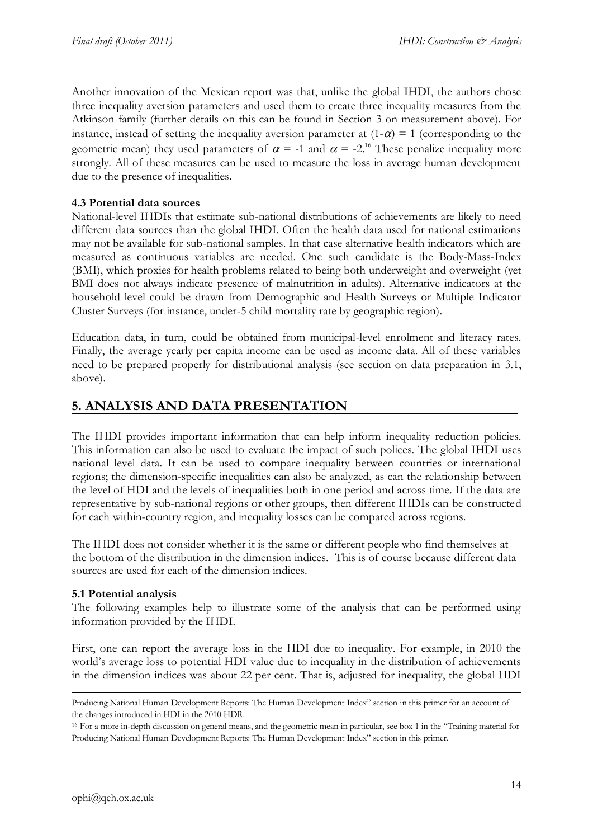Another innovation of the Mexican report was that, unlike the global IHDI, the authors chose three inequality aversion parameters and used them to create three inequality measures from the Atkinson family (further details on this can be found in Section 3 on measurement above). For instance, instead of setting the inequality aversion parameter at  $(1-\alpha) = 1$  (corresponding to the geometric mean) they used parameters of  $\alpha = -1$  and  $\alpha = -2^{16}$ . These penalize inequality more strongly. All of these measures can be used to measure the loss in average human development due to the presence of inequalities.

## **4.3 Potential data sources**

National-level IHDIs that estimate sub-national distributions of achievements are likely to need different data sources than the global IHDI. Often the health data used for national estimations may not be available for sub-national samples. In that case alternative health indicators which are measured as continuous variables are needed. One such candidate is the Body-Mass-Index (BMI), which proxies for health problems related to being both underweight and overweight (yet BMI does not always indicate presence of malnutrition in adults). Alternative indicators at the household level could be drawn from Demographic and Health Surveys or Multiple Indicator Cluster Surveys (for instance, under-5 child mortality rate by geographic region).

Education data, in turn, could be obtained from municipal-level enrolment and literacy rates. Finally, the average yearly per capita income can be used as income data. All of these variables need to be prepared properly for distributional analysis (see section on data preparation in 3.1, above).

## **5. ANALYSIS AND DATA PRESENTATION**

The IHDI provides important information that can help inform inequality reduction policies. This information can also be used to evaluate the impact of such polices. The global IHDI uses national level data. It can be used to compare inequality between countries or international regions; the dimension-specific inequalities can also be analyzed, as can the relationship between the level of HDI and the levels of inequalities both in one period and across time. If the data are representative by sub-national regions or other groups, then different IHDIs can be constructed for each within-country region, and inequality losses can be compared across regions.

The IHDI does not consider whether it is the same or different people who find themselves at the bottom of the distribution in the dimension indices. This is of course because different data sources are used for each of the dimension indices.

## **5.1 Potential analysis**

The following examples help to illustrate some of the analysis that can be performed using information provided by the IHDI.

First, one can report the average loss in the HDI due to inequality*.* For example, in 2010 the world's average loss to potential HDI value due to inequality in the distribution of achievements in the dimension indices was about 22 per cent. That is, adjusted for inequality, the global HDI

Producing National Human Development Reports: The Human Development Index" section in this primer for an account of the changes introduced in HDI in the 2010 HDR.

<sup>16</sup> For a more in-depth discussion on general means, and the geometric mean in particular, see box 1 in the "Training material for Producing National Human Development Reports: The Human Development Index" section in this primer.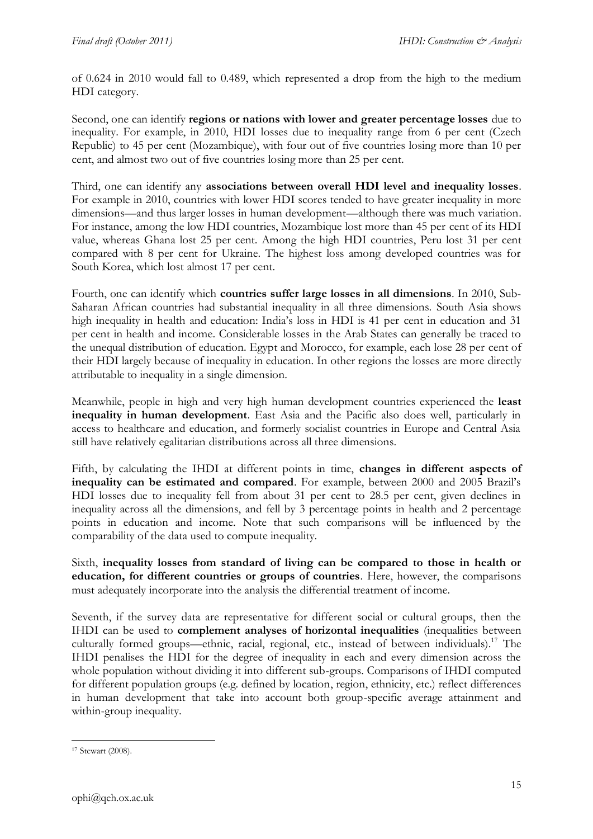of 0.624 in 2010 would fall to 0.489, which represented a drop from the high to the medium HDI category.

Second, one can identify **regions or nations with lower and greater percentage losses** due to inequality. For example, in 2010, HDI losses due to inequality range from 6 per cent (Czech Republic) to 45 per cent (Mozambique), with four out of five countries losing more than 10 per cent, and almost two out of five countries losing more than 25 per cent.

Third, one can identify any **associations between overall HDI level and inequality losses**. For example in 2010, countries with lower HDI scores tended to have greater inequality in more dimensions—and thus larger losses in human development—although there was much variation. For instance, among the low HDI countries, Mozambique lost more than 45 per cent of its HDI value, whereas Ghana lost 25 per cent. Among the high HDI countries, Peru lost 31 per cent compared with 8 per cent for Ukraine. The highest loss among developed countries was for South Korea, which lost almost 17 per cent.

Fourth, one can identify which **countries suffer large losses in all dimensions**. In 2010, Sub-Saharan African countries had substantial inequality in all three dimensions. South Asia shows high inequality in health and education: India's loss in HDI is 41 per cent in education and 31 per cent in health and income. Considerable losses in the Arab States can generally be traced to the unequal distribution of education. Egypt and Morocco, for example, each lose 28 per cent of their HDI largely because of inequality in education. In other regions the losses are more directly attributable to inequality in a single dimension.

Meanwhile, people in high and very high human development countries experienced the **least inequality in human development**. East Asia and the Pacific also does well, particularly in access to healthcare and education, and formerly socialist countries in Europe and Central Asia still have relatively egalitarian distributions across all three dimensions.

Fifth, by calculating the IHDI at different points in time, **changes in different aspects of inequality can be estimated and compared**. For example, between 2000 and 2005 Brazil's HDI losses due to inequality fell from about 31 per cent to 28.5 per cent, given declines in inequality across all the dimensions, and fell by 3 percentage points in health and 2 percentage points in education and income. Note that such comparisons will be influenced by the comparability of the data used to compute inequality.

Sixth, **inequality losses from standard of living can be compared to those in health or education, for different countries or groups of countries**. Here, however, the comparisons must adequately incorporate into the analysis the differential treatment of income.

Seventh, if the survey data are representative for different social or cultural groups, then the IHDI can be used to **complement analyses of horizontal inequalities** (inequalities between culturally formed groups—ethnic, racial, regional, etc., instead of between individuals).<sup>17</sup> The IHDI penalises the HDI for the degree of inequality in each and every dimension across the whole population without dividing it into different sub-groups. Comparisons of IHDI computed for different population groups (e.g. defined by location, region, ethnicity, etc.) reflect differences in human development that take into account both group-specific average attainment and within-group inequality.

**<sup>.</sup>** <sup>17</sup> Stewart (2008).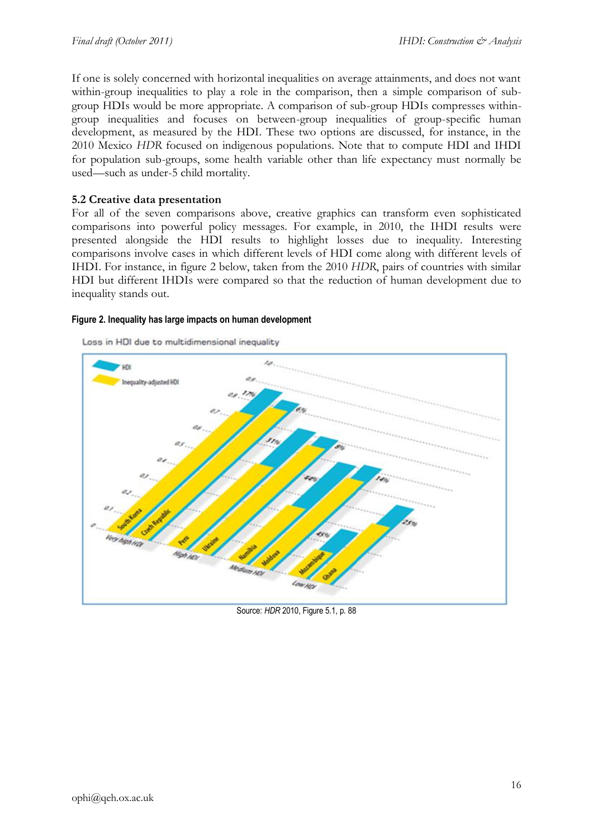If one is solely concerned with horizontal inequalities on average attainments, and does not want within-group inequalities to play a role in the comparison, then a simple comparison of subgroup HDIs would be more appropriate. A comparison of sub-group HDIs compresses withingroup inequalities and focuses on between-group inequalities of group-specific human development, as measured by the HDI. These two options are discussed, for instance, in the 2010 Mexico *HDR* focused on indigenous populations. Note that to compute HDI and IHDI for population sub-groups, some health variable other than life expectancy must normally be used—such as under-5 child mortality.

### **5.2 Creative data presentation**

For all of the seven comparisons above, creative graphics can transform even sophisticated comparisons into powerful policy messages. For example, in 2010, the IHDI results were presented alongside the HDI results to highlight losses due to inequality. Interesting comparisons involve cases in which different levels of HDI come along with different levels of IHDI. For instance, in figure 2 below, taken from the 2010 *HDR*, pairs of countries with similar HDI but different IHDIs were compared so that the reduction of human development due to inequality stands out.

#### **Figure 2. Inequality has large impacts on human development**





Source: *HDR* 2010, Figure 5.1, p. 88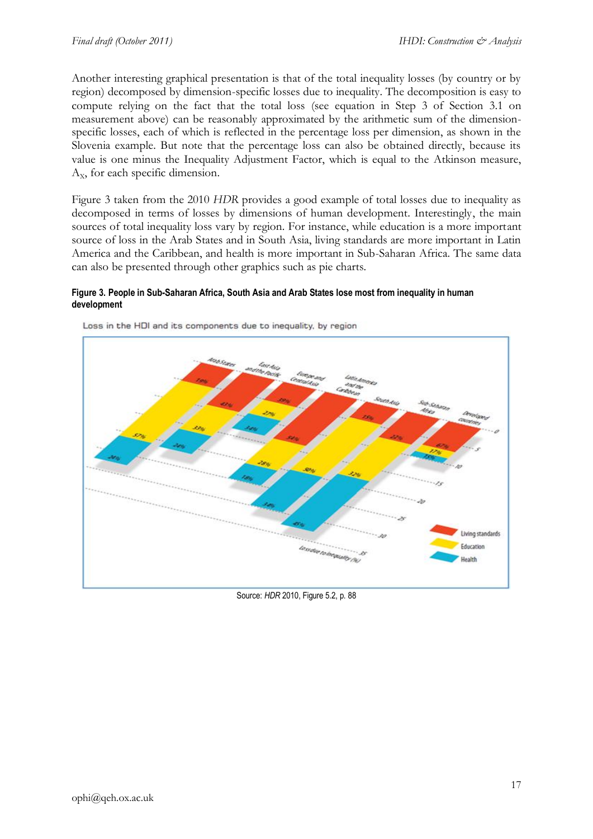Another interesting graphical presentation is that of the total inequality losses (by country or by region) decomposed by dimension-specific losses due to inequality. The decomposition is easy to compute relying on the fact that the total loss (see equation in Step 3 of Section 3.1 on measurement above) can be reasonably approximated by the arithmetic sum of the dimensionspecific losses, each of which is reflected in the percentage loss per dimension, as shown in the Slovenia example. But note that the percentage loss can also be obtained directly, because its value is one minus the Inequality Adjustment Factor, which is equal to the Atkinson measure,  $A_x$ , for each specific dimension.

Figure 3 taken from the 2010 *HDR* provides a good example of total losses due to inequality as decomposed in terms of losses by dimensions of human development. Interestingly, the main sources of total inequality loss vary by region. For instance, while education is a more important source of loss in the Arab States and in South Asia, living standards are more important in Latin America and the Caribbean, and health is more important in Sub-Saharan Africa. The same data can also be presented through other graphics such as pie charts.

#### **Figure 3. People in Sub-Saharan Africa, South Asia and Arab States lose most from inequality in human development**



Loss in the HDI and its components due to inequality, by region

Source: *HDR* 2010, Figure 5.2, p. 88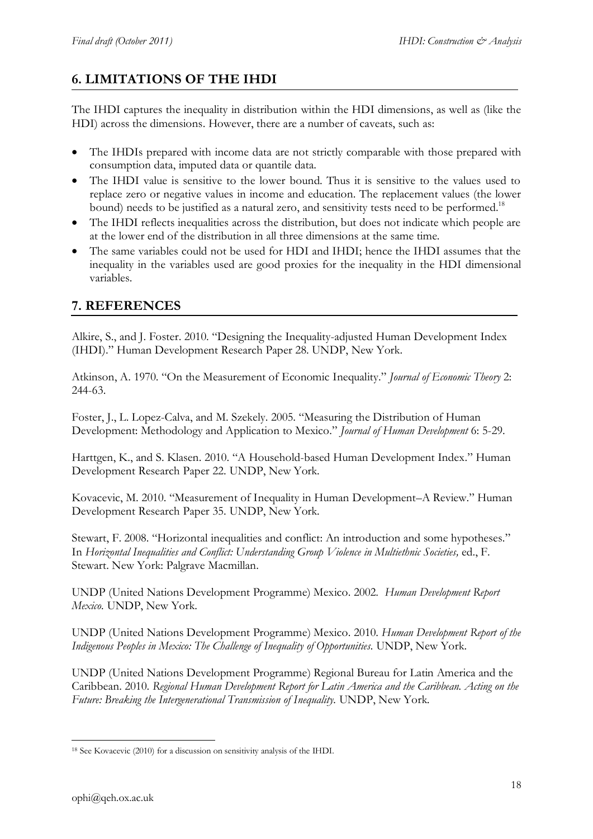# **6. LIMITATIONS OF THE IHDI**

The IHDI captures the inequality in distribution within the HDI dimensions, as well as (like the HDI) across the dimensions. However, there are a number of caveats, such as:

- The IHDIs prepared with income data are not strictly comparable with those prepared with consumption data, imputed data or quantile data.
- The IHDI value is sensitive to the lower bound. Thus it is sensitive to the values used to replace zero or negative values in income and education. The replacement values (the lower bound) needs to be justified as a natural zero, and sensitivity tests need to be performed.<sup>18</sup>
- The IHDI reflects inequalities across the distribution, but does not indicate which people are at the lower end of the distribution in all three dimensions at the same time.
- The same variables could not be used for HDI and IHDI; hence the IHDI assumes that the inequality in the variables used are good proxies for the inequality in the HDI dimensional variables.

## **7. REFERENCES**

Alkire, S., and J. Foster. 2010. "Designing the Inequality-adjusted Human Development Index (IHDI)." Human Development Research Paper 28. UNDP, New York.

Atkinson, A. 1970. "On the Measurement of Economic Inequality." *Journal of Economic Theory* 2: 244-63.

Foster, J., L. Lopez-Calva, and M. Szekely. 2005. "Measuring the Distribution of Human Development: Methodology and Application to Mexico." *Journal of Human Development* 6: 5-29.

Harttgen, K., and S. Klasen. 2010. "A Household-based Human Development Index." Human Development Research Paper 22. UNDP, New York.

Kovacevic, M. 2010. "Measurement of Inequality in Human Development–A Review." Human Development Research Paper 35. UNDP, New York.

Stewart, F. 2008. "Horizontal inequalities and conflict: An introduction and some hypotheses." In *Horizontal Inequalities and Conflict: Understanding Group Violence in Multiethnic Societies,* ed., F. Stewart. New York: Palgrave Macmillan.

UNDP (United Nations Development Programme) Mexico. 2002. *Human Development Report Mexico.* UNDP, New York.

UNDP (United Nations Development Programme) Mexico. 2010. *Human Development Report of the Indigenous Peoples in Mexico: The Challenge of Inequality of Opportunities.* UNDP, New York.

UNDP (United Nations Development Programme) Regional Bureau for Latin America and the Caribbean. 2010. *Regional Human Development Report for Latin America and the Caribbean. Acting on the Future: Breaking the Intergenerational Transmission of Inequality.* UNDP, New York*.*

**<sup>.</sup>** <sup>18</sup> See Kovacevic (2010) for a discussion on sensitivity analysis of the IHDI.